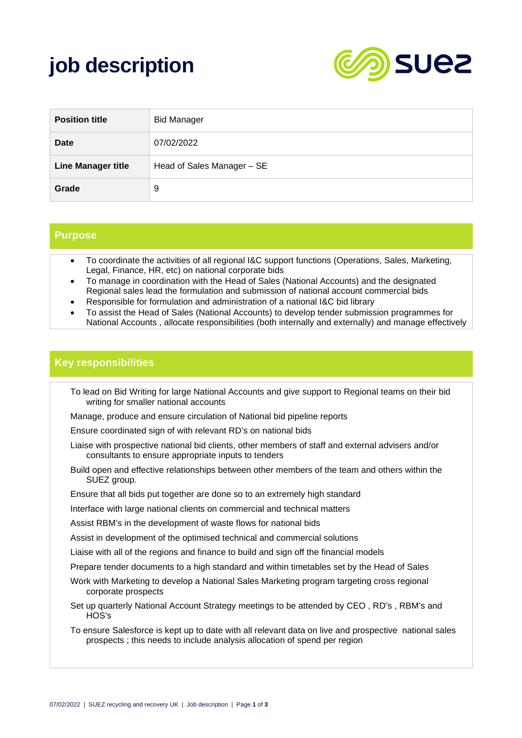# **job description**



| <b>Position title</b>     | <b>Bid Manager</b>         |
|---------------------------|----------------------------|
| Date                      | 07/02/2022                 |
| <b>Line Manager title</b> | Head of Sales Manager - SE |
| Grade                     | 9                          |

#### **Purpose**

- To coordinate the activities of all regional I&C support functions (Operations, Sales, Marketing, Legal, Finance, HR, etc) on national corporate bids
- To manage in coordination with the Head of Sales (National Accounts) and the designated Regional sales lead the formulation and submission of national account commercial bids
- Responsible for formulation and administration of a national I&C bid library
- To assist the Head of Sales (National Accounts) to develop tender submission programmes for National Accounts , allocate responsibilities (both internally and externally) and manage effectively

#### **Key responsibilities**

- To lead on Bid Writing for large National Accounts and give support to Regional teams on their bid writing for smaller national accounts
- Manage, produce and ensure circulation of National bid pipeline reports
- Ensure coordinated sign of with relevant RD's on national bids
- Liaise with prospective national bid clients, other members of staff and external advisers and/or consultants to ensure appropriate inputs to tenders
- Build open and effective relationships between other members of the team and others within the SUEZ group.
- Ensure that all bids put together are done so to an extremely high standard
- Interface with large national clients on commercial and technical matters
- Assist RBM's in the development of waste flows for national bids
- Assist in development of the optimised technical and commercial solutions
- Liaise with all of the regions and finance to build and sign off the financial models
- Prepare tender documents to a high standard and within timetables set by the Head of Sales
- Work with Marketing to develop a National Sales Marketing program targeting cross regional corporate prospects
- Set up quarterly National Account Strategy meetings to be attended by CEO , RD's , RBM's and HOS's
- To ensure Salesforce is kept up to date with all relevant data on live and prospective national sales prospects ; this needs to include analysis allocation of spend per region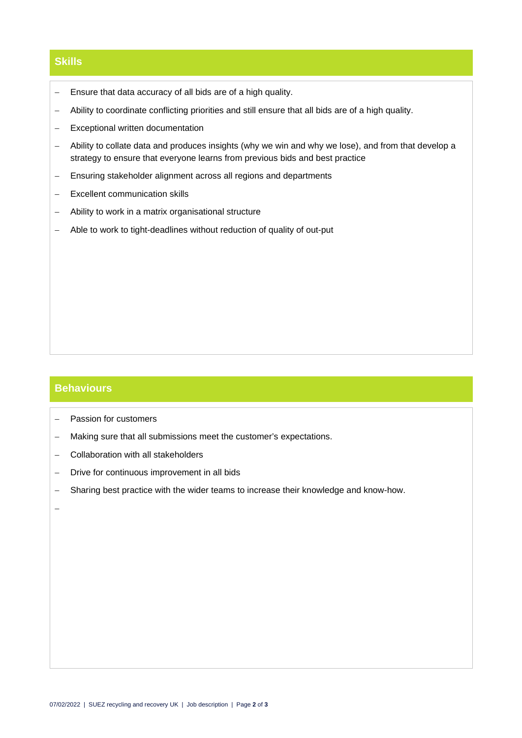### **Skills**

- − Ensure that data accuracy of all bids are of a high quality.
- − Ability to coordinate conflicting priorities and still ensure that all bids are of a high quality.
- − Exceptional written documentation
- − Ability to collate data and produces insights (why we win and why we lose), and from that develop a strategy to ensure that everyone learns from previous bids and best practice
- − Ensuring stakeholder alignment across all regions and departments
- − Excellent communication skills
- − Ability to work in a matrix organisational structure
- − Able to work to tight-deadlines without reduction of quality of out-put

#### **Behaviours**

- − Passion for customers
- − Making sure that all submissions meet the customer's expectations.
- − Collaboration with all stakeholders
- − Drive for continuous improvement in all bids
- − Sharing best practice with the wider teams to increase their knowledge and know-how.

−